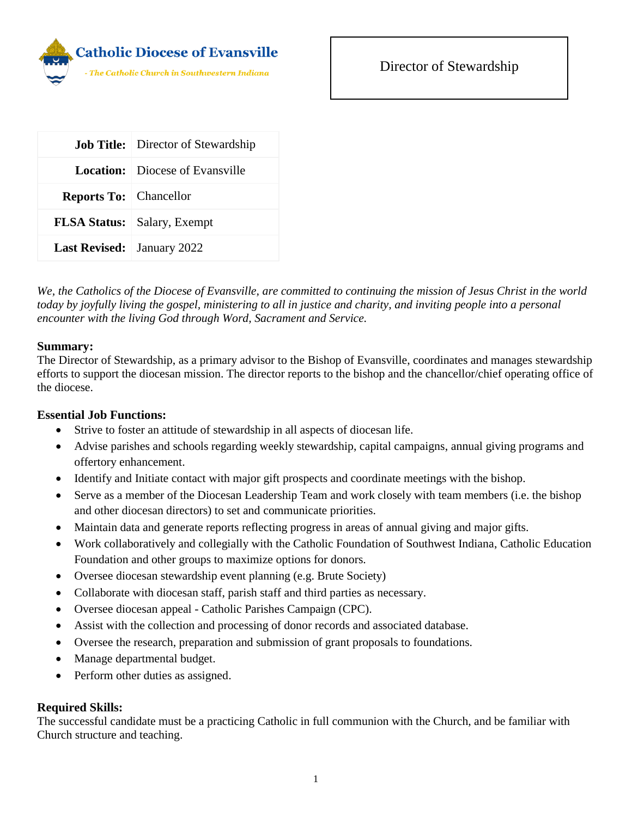

|                                   | <b>Job Title:</b> Director of Stewardship |
|-----------------------------------|-------------------------------------------|
|                                   | <b>Location:</b> Diocese of Evansville    |
| <b>Reports To:</b> Chancellor     |                                           |
|                                   | <b>FLSA Status:</b> Salary, Exempt        |
| <b>Last Revised:</b> January 2022 |                                           |

*We, the Catholics of the Diocese of Evansville, are committed to continuing the mission of Jesus Christ in the world today by joyfully living the gospel, ministering to all in justice and charity, and inviting people into a personal encounter with the living God through Word, Sacrament and Service.*

## **Summary:**

The Director of Stewardship, as a primary advisor to the Bishop of Evansville, coordinates and manages stewardship efforts to support the diocesan mission. The director reports to the bishop and the chancellor/chief operating office of the diocese.

## **Essential Job Functions:**

- Strive to foster an attitude of stewardship in all aspects of diocesan life.
- Advise parishes and schools regarding weekly stewardship, capital campaigns, annual giving programs and offertory enhancement.
- Identify and Initiate contact with major gift prospects and coordinate meetings with the bishop.
- Serve as a member of the Diocesan Leadership Team and work closely with team members (i.e. the bishop and other diocesan directors) to set and communicate priorities.
- Maintain data and generate reports reflecting progress in areas of annual giving and major gifts.
- Work collaboratively and collegially with the Catholic Foundation of Southwest Indiana, Catholic Education Foundation and other groups to maximize options for donors.
- Oversee diocesan stewardship event planning (e.g. Brute Society)
- Collaborate with diocesan staff, parish staff and third parties as necessary.
- Oversee diocesan appeal Catholic Parishes Campaign (CPC).
- Assist with the collection and processing of donor records and associated database.
- Oversee the research, preparation and submission of grant proposals to foundations.
- Manage departmental budget.
- Perform other duties as assigned.

## **Required Skills:**

The successful candidate must be a practicing Catholic in full communion with the Church, and be familiar with Church structure and teaching.